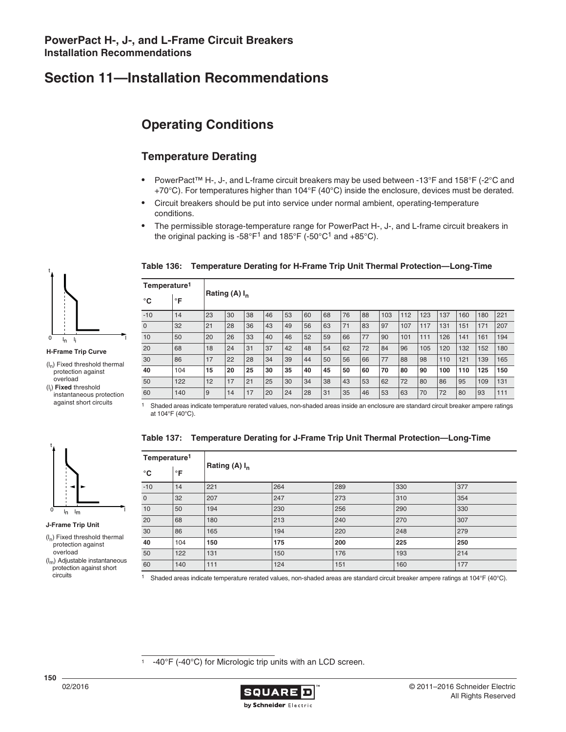# **Section 11—Installation Recommendations**

# **Operating Conditions**

# **Temperature Derating**

- PowerPact™ H-, J-, and L-frame circuit breakers may be used between -13°F and 158°F (-2°C and +70°C). For temperatures higher than 104°F (40°C) inside the enclosure, devices must be derated.
- Circuit breakers should be put into service under normal ambient, operating-temperature conditions.
- The permissible storage-temperature range for PowerPact H-, J-, and L-frame circuit breakers in the original packing is -58 $\degree$ F<sup>1</sup> and 185 $\degree$ F (-50 $\degree$ C<sup>1</sup> and +85 $\degree$ C).

| Temperature <sup>1</sup> |     |    |                  |    |    |    |    |    |    |    |     |     |     |     |     |     |     |
|--------------------------|-----|----|------------------|----|----|----|----|----|----|----|-----|-----|-----|-----|-----|-----|-----|
| $^{\circ}$ C             | °F  |    | Rating (A) $I_n$ |    |    |    |    |    |    |    |     |     |     |     |     |     |     |
| $-10$                    | 14  | 23 | 30               | 38 | 46 | 53 | 60 | 68 | 76 | 88 | 103 | 112 | 123 | 137 | 160 | 180 | 221 |
| $\mathbf{0}$             | 32  | 21 | 28               | 36 | 43 | 49 | 56 | 63 | 71 | 83 | 97  | 107 | 117 | 131 | 151 | 171 | 207 |
| 10                       | 50  | 20 | 26               | 33 | 40 | 46 | 52 | 59 | 66 | 77 | 90  | 101 | 111 | 126 | 141 | 161 | 194 |
| 20                       | 68  | 18 | 24               | 31 | 37 | 42 | 48 | 54 | 62 | 72 | 84  | 96  | 105 | 120 | 132 | 152 | 180 |
| 30                       | 86  | 17 | 22               | 28 | 34 | 39 | 44 | 50 | 56 | 66 | 77  | 88  | 98  | 110 | 121 | 139 | 165 |
| 40                       | 104 | 15 | 20               | 25 | 30 | 35 | 40 | 45 | 50 | 60 | 70  | 80  | 90  | 100 | 110 | 125 | 150 |
| 50                       | 122 | 12 | 17               | 21 | 25 | 30 | 34 | 38 | 43 | 53 | 62  | 72  | 80  | 86  | 95  | 109 | 131 |
| 60                       | 140 | 9  | 14               | 17 | 20 | 24 | 28 | 31 | 35 | 46 | 53  | 63  | 70  | 72  | 80  | 93  | 111 |

#### **Table 136: Temperature Derating for H-Frame Trip Unit Thermal Protection—Long-Time**

1 Shaded areas indicate temperature rerated values, non-shaded areas inside an enclosure are standard circuit breaker ampere ratings at 104°F (40°C).

**Table 137: Temperature Derating for J-Frame Trip Unit Thermal Protection—Long-Time**

| Temperature <sup>1</sup> |     |                           |     |     |     |     |  |  |  |  |  |
|--------------------------|-----|---------------------------|-----|-----|-----|-----|--|--|--|--|--|
| $^{\circ}$ C             | l°F | Rating (A) I <sub>n</sub> |     |     |     |     |  |  |  |  |  |
| $-10$                    | 14  | 221                       | 264 | 289 | 330 | 377 |  |  |  |  |  |
| $\Omega$                 | 32  | 207                       | 247 | 273 | 310 | 354 |  |  |  |  |  |
| 10                       | 50  | 194                       | 230 | 256 | 290 | 330 |  |  |  |  |  |
| 20                       | 68  | 180                       | 213 | 240 | 270 | 307 |  |  |  |  |  |
| 30                       | 86  | 165                       | 194 | 220 | 248 | 279 |  |  |  |  |  |
| 40                       | 104 | 150                       | 175 | 200 | 225 | 250 |  |  |  |  |  |
| 50                       | 122 | 131                       | 150 | 176 | 193 | 214 |  |  |  |  |  |
| 60                       | 140 | 111                       | 124 | 151 | 160 | 177 |  |  |  |  |  |

1 Shaded areas indicate temperature rerated values, non-shaded areas are standard circuit breaker ampere ratings at 104°F (40°C).





#### **J-Frame Trip Unit**

t

 $0$   $I_n$  l

**H-Frame Trip Curve**  $(l_n)$  Fixed threshold thermal protection against overload (li ) **Fixed** threshold instantaneous protection against short circuits

i li li li li li li

 $(l_n)$  Fixed threshold thermal protection against overload

 $(l_m)$  Adjustable instantaneous protection against short circuits



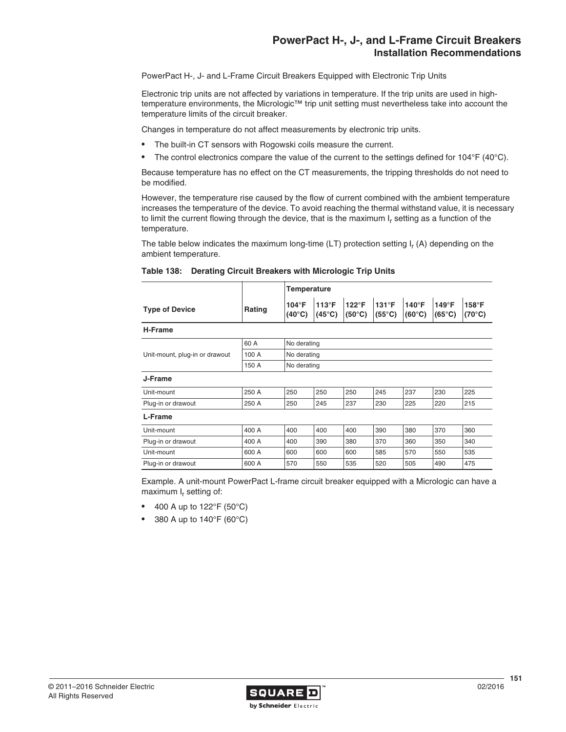### **PowerPact H-, J-, and L-Frame Circuit Breakers Installation Recommendations**

PowerPact H-, J- and L-Frame Circuit Breakers Equipped with Electronic Trip Units

Electronic trip units are not affected by variations in temperature. If the trip units are used in hightemperature environments, the Micrologic™ trip unit setting must nevertheless take into account the temperature limits of the circuit breaker.

Changes in temperature do not affect measurements by electronic trip units.

- The built-in CT sensors with Rogowski coils measure the current.
- The control electronics compare the value of the current to the settings defined for 104°F (40°C).

Because temperature has no effect on the CT measurements, the tripping thresholds do not need to be modified.

However, the temperature rise caused by the flow of current combined with the ambient temperature increases the temperature of the device. To avoid reaching the thermal withstand value, it is necessary to limit the current flowing through the device, that is the maximum  $I_r$  setting as a function of the temperature.

The table below indicates the maximum long-time (LT) protection setting  $I_r(A)$  depending on the ambient temperature.

|                                |        | <b>Temperature</b>               |                                  |                                   |                                  |                                  |                          |                                  |  |  |  |  |
|--------------------------------|--------|----------------------------------|----------------------------------|-----------------------------------|----------------------------------|----------------------------------|--------------------------|----------------------------------|--|--|--|--|
| <b>Type of Device</b>          | Rating | $104^\circ F$<br>$(40^{\circ}C)$ | $113^\circ F$<br>$(45^{\circ}C)$ | $122^{\circ}F$<br>$(50^{\circ}C)$ | $131^\circ F$<br>$(55^{\circ}C)$ | $140^\circ F$<br>$(60^{\circ}C)$ | 149°F<br>$(65^{\circ}C)$ | $158^\circ F$<br>$(70^{\circ}C)$ |  |  |  |  |
| <b>H-Frame</b>                 |        |                                  |                                  |                                   |                                  |                                  |                          |                                  |  |  |  |  |
|                                | 60 A   | No derating                      |                                  |                                   |                                  |                                  |                          |                                  |  |  |  |  |
| Unit-mount, plug-in or drawout | 100 A  | No derating                      |                                  |                                   |                                  |                                  |                          |                                  |  |  |  |  |
|                                | 150 A  | No derating                      |                                  |                                   |                                  |                                  |                          |                                  |  |  |  |  |
| J-Frame                        |        |                                  |                                  |                                   |                                  |                                  |                          |                                  |  |  |  |  |
| Unit-mount                     | 250 A  | 250                              | 250                              | 250                               | 245                              | 237                              | 230                      | 225                              |  |  |  |  |
| Plug-in or drawout             | 250 A  | 250                              | 245                              | 237                               | 230                              | 225                              | 220                      | 215                              |  |  |  |  |
| L-Frame                        |        |                                  |                                  |                                   |                                  |                                  |                          |                                  |  |  |  |  |
| Unit-mount                     | 400 A  | 400                              | 400                              | 400                               | 390                              | 380                              | 370                      | 360                              |  |  |  |  |
| Plug-in or drawout             | 400 A  | 400                              | 390                              | 380                               | 370                              | 360                              | 350                      | 340                              |  |  |  |  |
| Unit-mount                     | 600 A  | 600                              | 600                              | 600                               | 585                              | 570                              | 550                      | 535                              |  |  |  |  |
| Plug-in or drawout             | 600 A  | 570                              | 550                              | 535                               | 520                              | 505                              | 490                      | 475                              |  |  |  |  |

#### **Table 138: Derating Circuit Breakers with Micrologic Trip Units**

Example. A unit-mount PowerPact L-frame circuit breaker equipped with a Micrologic can have a maximum I<sub>r</sub> setting of:

- 400 A up to 122°F (50°C)
- 380 A up to  $140^{\circ}$ F (60 $^{\circ}$ C)